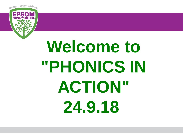

# **Welcome to "PHONICS IN ACTION" 24.9.18**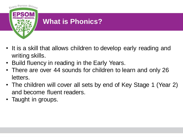

# **What is Phonics?**

- It is a skill that allows children to develop early reading and writing skills.
- Build fluency in reading in the Early Years.
- There are over 44 sounds for children to learn and only 26 letters.
- The children will cover all sets by end of Key Stage 1 (Year 2) and become fluent readers.
- Taught in groups.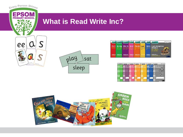

Phonics

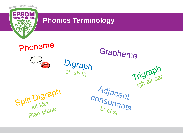

## **Phonics Terminology**

Phoneme



Digraph<br><sup>Ch</sup> sh th

Trigraph<br>igh air ear Adjacent<br>consonants

Grapheme

 $rac{1}{b}$  or  $\frac{1}{c}$  of  $\frac{1}{s}$ 

Split Digraph<br>Plan plane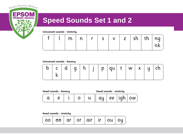

# **Speed Sounds Set 1 and 2**

Consonant sounds - stretchy

|  |  |  |  |  | $\lfloor m \rfloor n \lfloor r \rfloor s \lfloor v \rfloor z \rfloor$ sh $\lfloor th \rfloor ng$ |  |  |  |  |  |
|--|--|--|--|--|--------------------------------------------------------------------------------------------------|--|--|--|--|--|
|--|--|--|--|--|--------------------------------------------------------------------------------------------------|--|--|--|--|--|

Consonant sounds - bouncy

|  | $c \mid d$ |  |  |  |  | p |  |  |  | $\vert$ qu  t   w   x   $\vert$ | u |  |  |
|--|------------|--|--|--|--|---|--|--|--|---------------------------------|---|--|--|
|--|------------|--|--|--|--|---|--|--|--|---------------------------------|---|--|--|

| Vowel sounds - bouncy |  | Vowel sounds - stretchy |  |  |    |  |    |
|-----------------------|--|-------------------------|--|--|----|--|----|
|                       |  |                         |  |  | ee |  | ow |

Vowel sounds - stretchy

|  | $\mid$ 00 $\mid$ 00 $\mid$ ar $\mid$ 0r $\mid$ air $\mid$ ir $\mid$ 0u $\mid$ 0y $\mid$ |  |  |  |  |  |  |
|--|-----------------------------------------------------------------------------------------|--|--|--|--|--|--|
|--|-----------------------------------------------------------------------------------------|--|--|--|--|--|--|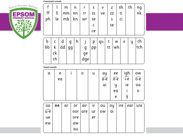**Consonant sounds** 



|    |    | m  |    | n  |     | s  | ٧  | z  |    | sh | th |          |
|----|----|----|----|----|-----|----|----|----|----|----|----|----------|
| ff | ll | mm |    | nn | rr  | SS | ve | ZZ |    | tί |    | ng<br>nk |
| ph | le | mb |    | kn | wr  | se |    | S  |    | ci |    |          |
|    |    |    |    |    |     | с  |    | se |    |    |    |          |
|    |    |    |    |    |     | ce |    |    |    |    |    |          |
|    |    |    |    |    |     |    |    |    |    |    |    |          |
| b  |    | α  | g  | h  |     | p  | qu | t  | W  | х  | y  | ch       |
| bb | k  | dd | 99 |    | g   | pр |    | tt | wh |    |    | tch      |
|    | ck |    |    |    | ge  |    |    |    |    |    |    |          |
|    | ch |    |    |    | dge |    |    |    |    |    |    |          |

Vowel sounds

| α   |   | е<br>ea |     | о   | u  | ay<br>a-e |    | ee<br>e-e |  | igh<br>$\widehat{\mathfrak{i}\text{-e}}$ | ow<br>$\widehat{\circ -e}$ |
|-----|---|---------|-----|-----|----|-----------|----|-----------|--|------------------------------------------|----------------------------|
|     |   |         |     |     |    | αi        |    | y         |  | ie                                       | oa                         |
|     |   |         |     |     |    |           | ea |           |  | i                                        | 0                          |
|     |   |         |     |     |    |           | е  |           |  | y                                        |                            |
| oo  | ಄ | αr      | or  | air | ir | ou        | оy | ire       |  | ear                                      | ure                        |
| ú-e |   |         | oor | are | ur | ow        | οί |           |  |                                          |                            |
| ue  |   |         | ore |     | er |           |    |           |  |                                          |                            |
| ew  |   |         | αw  |     |    |           |    |           |  |                                          |                            |
|     |   |         | αu  |     |    |           |    |           |  |                                          |                            |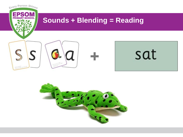

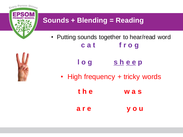

# **Sounds + Blending = Reading**

- Putting sounds together to hear/read word **c a t f r o g**
	- **l o g s h e e p**
	- High frequency + tricky words
		- **t h e w a s a r e y o u**

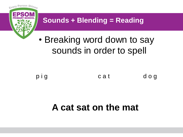

sounds in order to spell



# **A cat sat on the mat**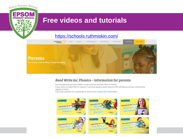### **Free videos and tutorials**

Every Person Shines

**EPSOM** 

**PRIN** 

### <https://schools.ruthmiskin.com/>



#### Read Write Inc. Phonics - information for parents

Our films show how we teach children to read and write with Read Write Inc. Phonics. If your child is in a Read Write Inc. school or if you have bought a parent pack, the films will help you and your child practise together at home.

If you have a question for us, please get in touch via our Facebook and Twitter pages.

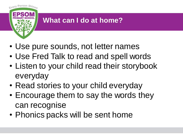

# **What can I do at home?**

- Use pure sounds, not letter names
- Use Fred Talk to read and spell words
- Listen to your child read their storybook everyday
- Read stories to your child everyday
- Encourage them to say the words they can recognise
- Phonics packs will be sent home